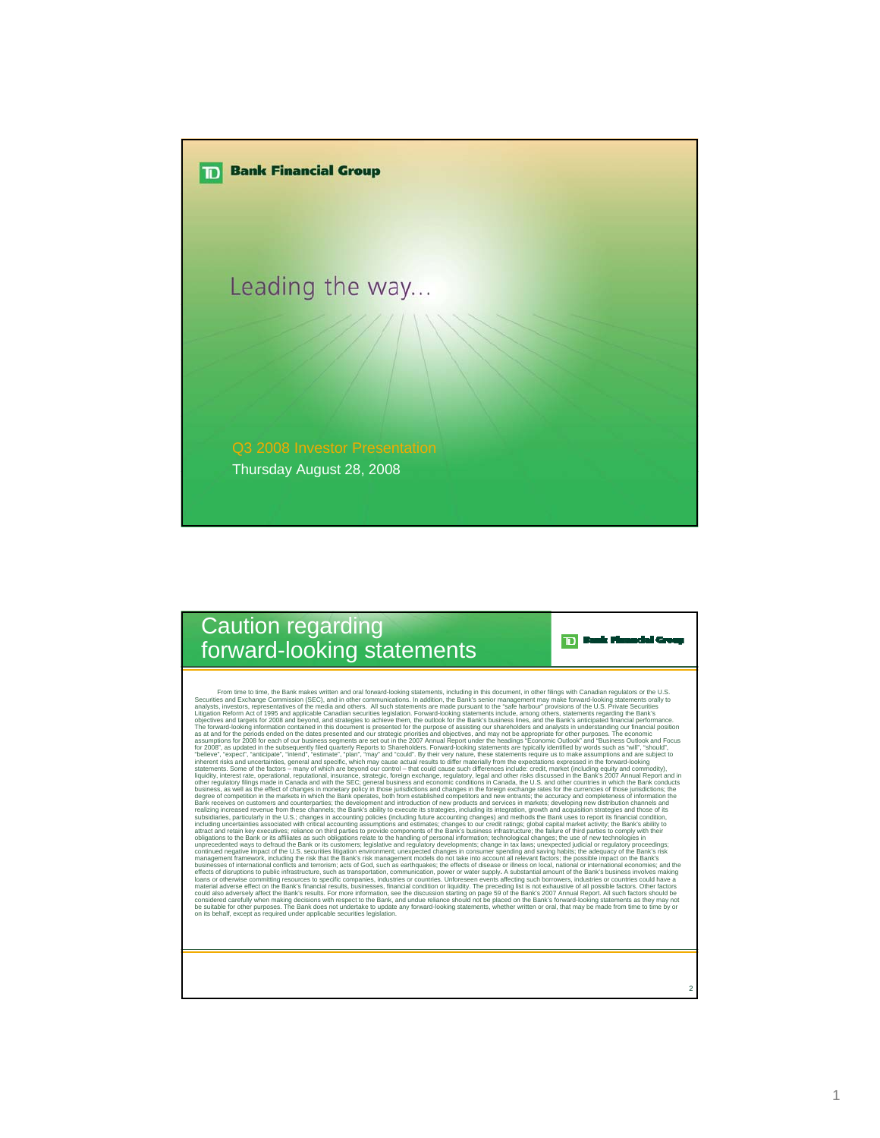

## Caution regarding forward-looking statements

Form line to time, the Bank makes witten and oral forward-looking statements, including in this document, in other flilings with Canadia metallings including proposes. Needs to represent the state behavior and the state of be suitable for other purposes. The Bank does not undertake to update any forward-looking statements, whether written or oral, that may be made from time to time by or<br>on its behalf, except as required under applicable sec

2

**D** Back Pimodal Group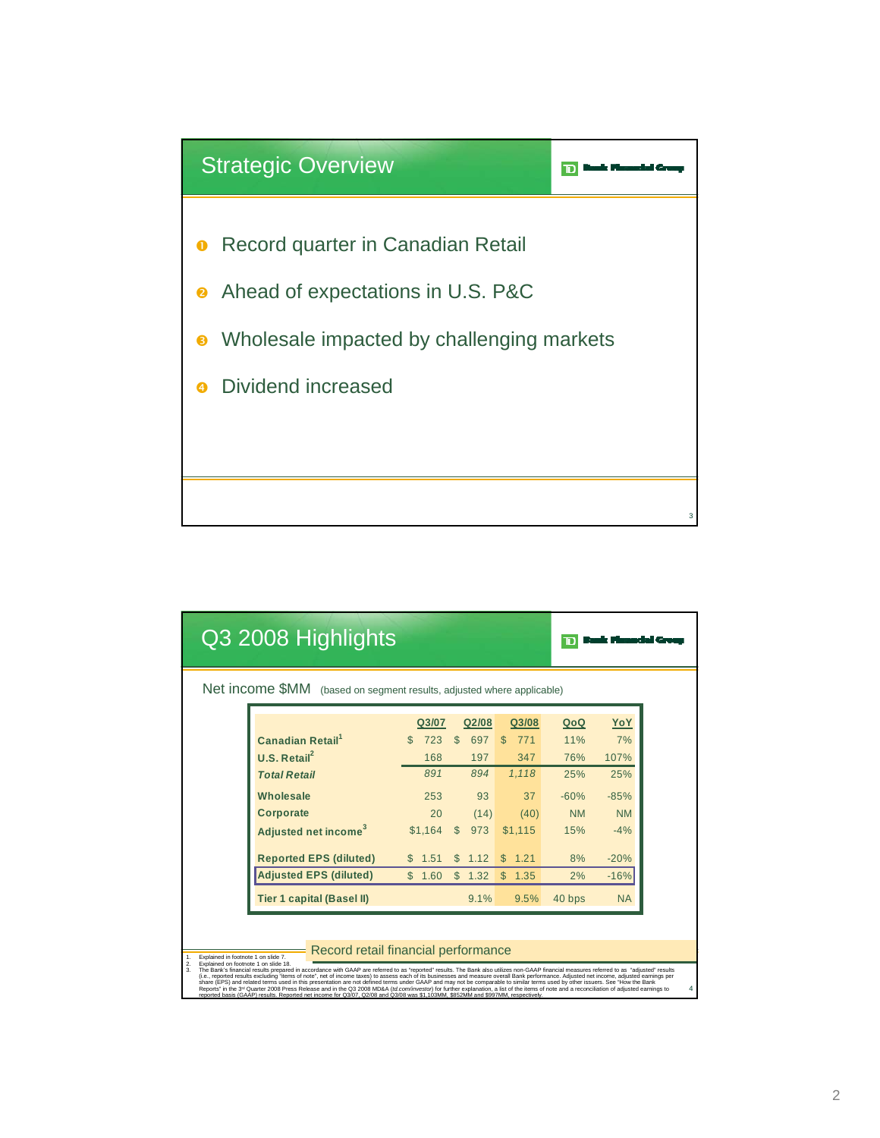

|                                                                       | Q3 2008 Highlights                  |             |                      |                      |           |            |  |  |
|-----------------------------------------------------------------------|-------------------------------------|-------------|----------------------|----------------------|-----------|------------|--|--|
| Net income \$MM (based on segment results, adjusted where applicable) |                                     |             |                      |                      |           |            |  |  |
|                                                                       |                                     | Q3/07       | Q2/08                | Q3/08                | QoQ       | <u>YoY</u> |  |  |
|                                                                       | <b>Canadian Retail</b> <sup>1</sup> | 723         | $\mathbb{S}$<br>697  | 771<br>$\mathcal{S}$ | 11%       | 7%         |  |  |
|                                                                       | U.S. Retail <sup>2</sup>            | 168         | 197                  | 347                  | 76%       | 107%       |  |  |
|                                                                       | <b>Total Retail</b>                 | 891         | 894                  | 1,118                | 25%       | 25%        |  |  |
|                                                                       | <b>Wholesale</b>                    | 253         | 93                   | 37                   | $-60%$    | $-85%$     |  |  |
|                                                                       | <b>Corporate</b>                    | 20          | (14)                 | (40)                 | <b>NM</b> | <b>NM</b>  |  |  |
|                                                                       | Adjusted net income <sup>3</sup>    | $$1,164$ \$ | 973                  | \$1,115              | 15%       | $-4%$      |  |  |
|                                                                       | <b>Reported EPS (diluted)</b>       | \$1.51      | 1.12<br>$\mathbb{S}$ | 1.21<br>$\mathbb{S}$ | 8%        | $-20%$     |  |  |
|                                                                       | <b>Adjusted EPS (diluted)</b>       | \$1.60      | \$1.32               | \$1.35               | 2%        | $-16%$     |  |  |
|                                                                       | <b>Tier 1 capital (Basel II)</b>    |             | 9.1%                 | 9.5%                 | 40 bps    | <b>NA</b>  |  |  |

Record retail financial performance

1. Explained in footnote 1 on side 7.8.<br>2. Explained in footnote 1 on side 7.8.<br>2. England on footnote 1 on side 18.<br>3. The Bank Strandal response to the Same Strandal accordance with GAAP are referred to as "reported" res

4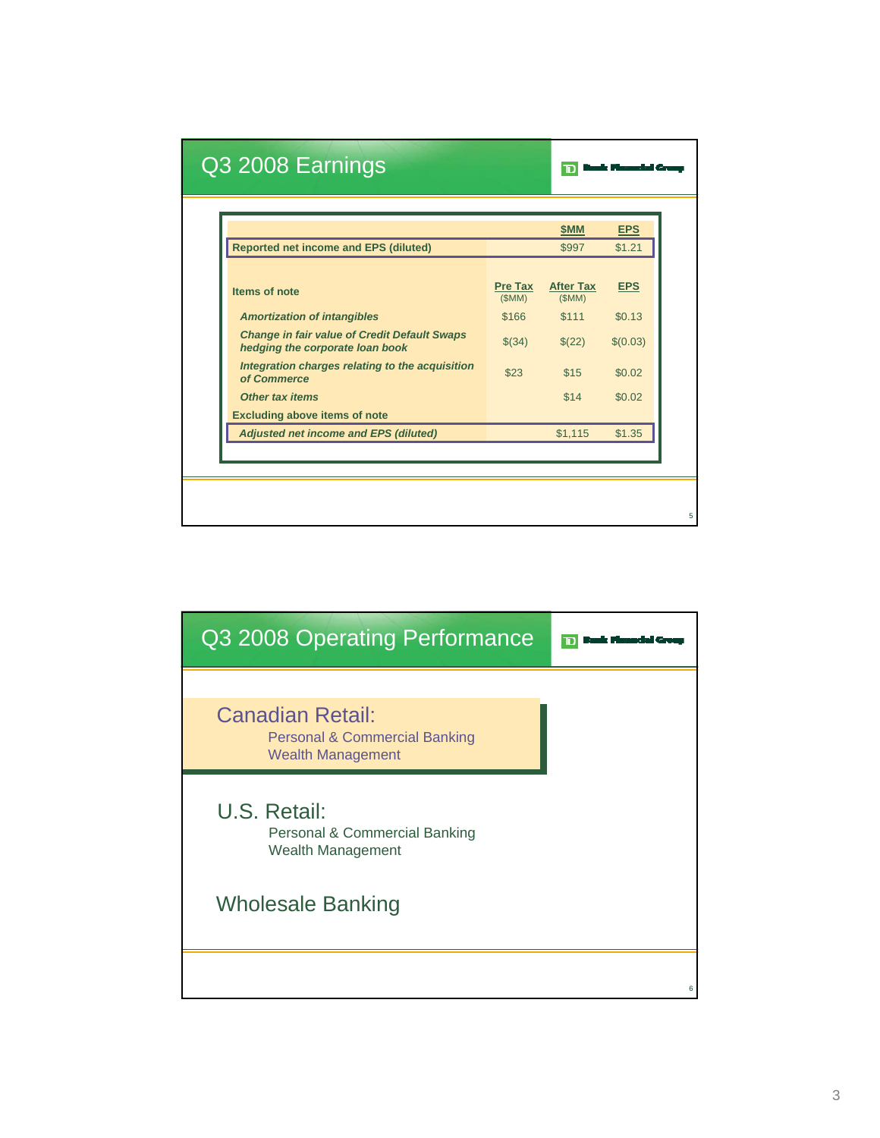|                                                                                        |                         | \$MM                      | <b>EPS</b> |
|----------------------------------------------------------------------------------------|-------------------------|---------------------------|------------|
| <b>Reported net income and EPS (diluted)</b>                                           |                         | \$997                     | \$1.21     |
| Items of note                                                                          | <b>Pre Tax</b><br>(SMM) | <b>After Tax</b><br>(SMM) | <b>EPS</b> |
| <b>Amortization of intangibles</b>                                                     | \$166                   | \$111                     | \$0.13     |
| <b>Change in fair value of Credit Default Swaps</b><br>hedging the corporate loan book | \$(34)                  | \$(22)                    | \$(0.03)   |
| Integration charges relating to the acquisition<br>of Commerce                         | \$23                    | \$15                      | \$0.02     |
| <b>Other tax items</b>                                                                 |                         | \$14                      | \$0.02     |
| <b>Excluding above items of note</b>                                                   |                         |                           |            |
| <b>Adjusted net income and EPS (diluted)</b>                                           |                         | \$1,115                   | \$1.35     |

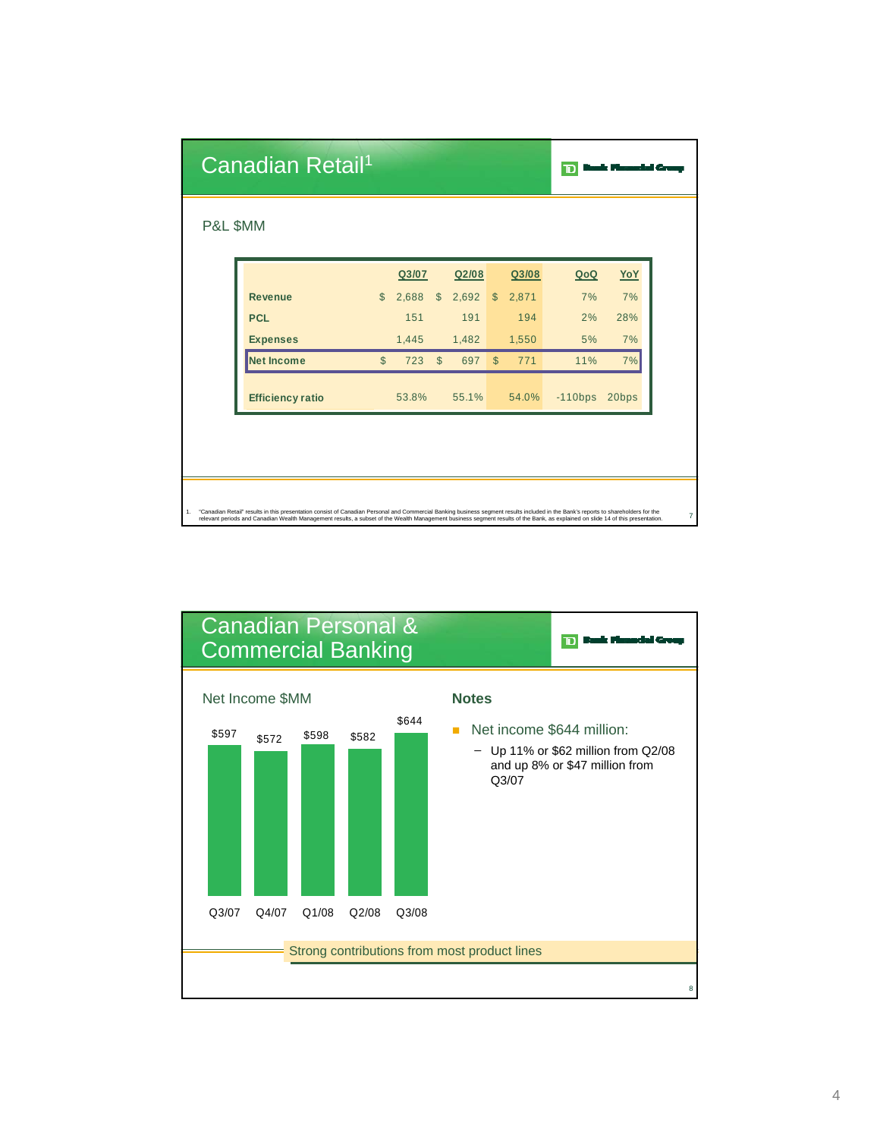| P&L \$MM                |              |       |              |       |               |       |           |            |
|-------------------------|--------------|-------|--------------|-------|---------------|-------|-----------|------------|
|                         |              | Q3/07 |              | Q2/08 |               | Q3/08 | QoQ       | <u>YoY</u> |
| <b>Revenue</b>          | $\mathbb{S}$ | 2,688 | $\mathbb{S}$ | 2,692 | $\mathcal{S}$ | 2,871 | 7%        | 7%         |
| <b>PCL</b>              |              | 151   |              | 191   |               | 194   | 2%        | 28%        |
| <b>Expenses</b>         |              | 1,445 |              | 1,482 |               | 1,550 | 5%        | 7%         |
| <b>Net Income</b>       | $\mathbb{S}$ | 723   | $\mathbb{S}$ | 697   | $\mathbb{S}$  | 771   | 11%       | 7%         |
| <b>Efficiency ratio</b> |              | 53.8% |              | 55.1% |               | 54.0% | $-110bps$ | 20bps      |
|                         |              |       |              |       |               |       |           |            |
|                         |              |       |              |       |               |       |           |            |
|                         |              |       |              |       |               |       |           |            |

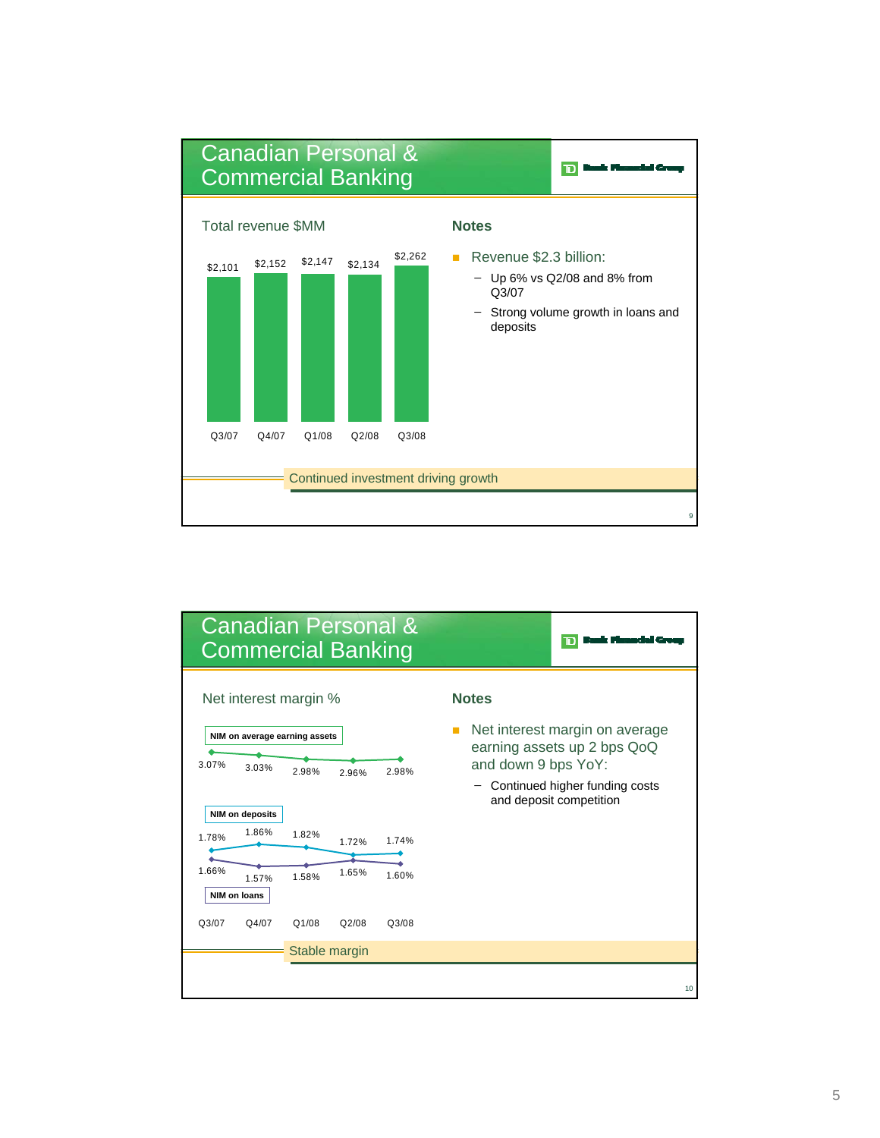

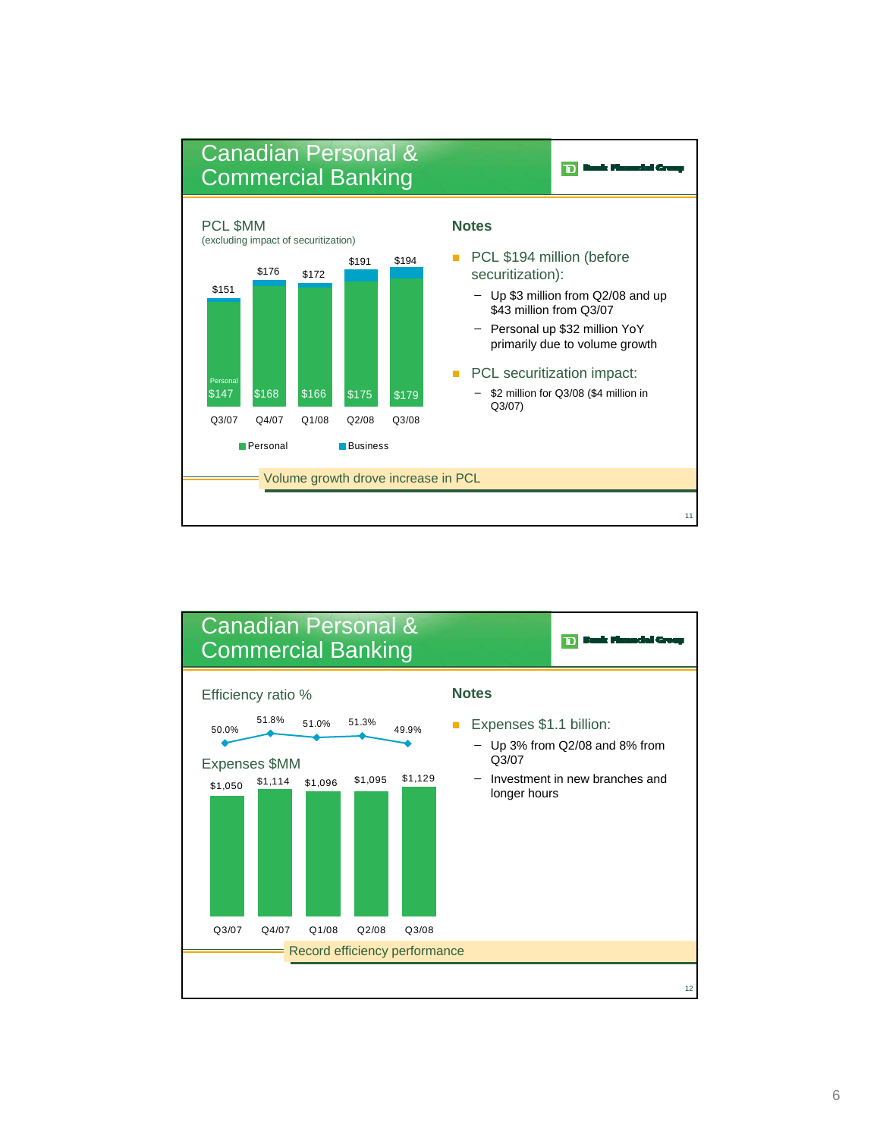

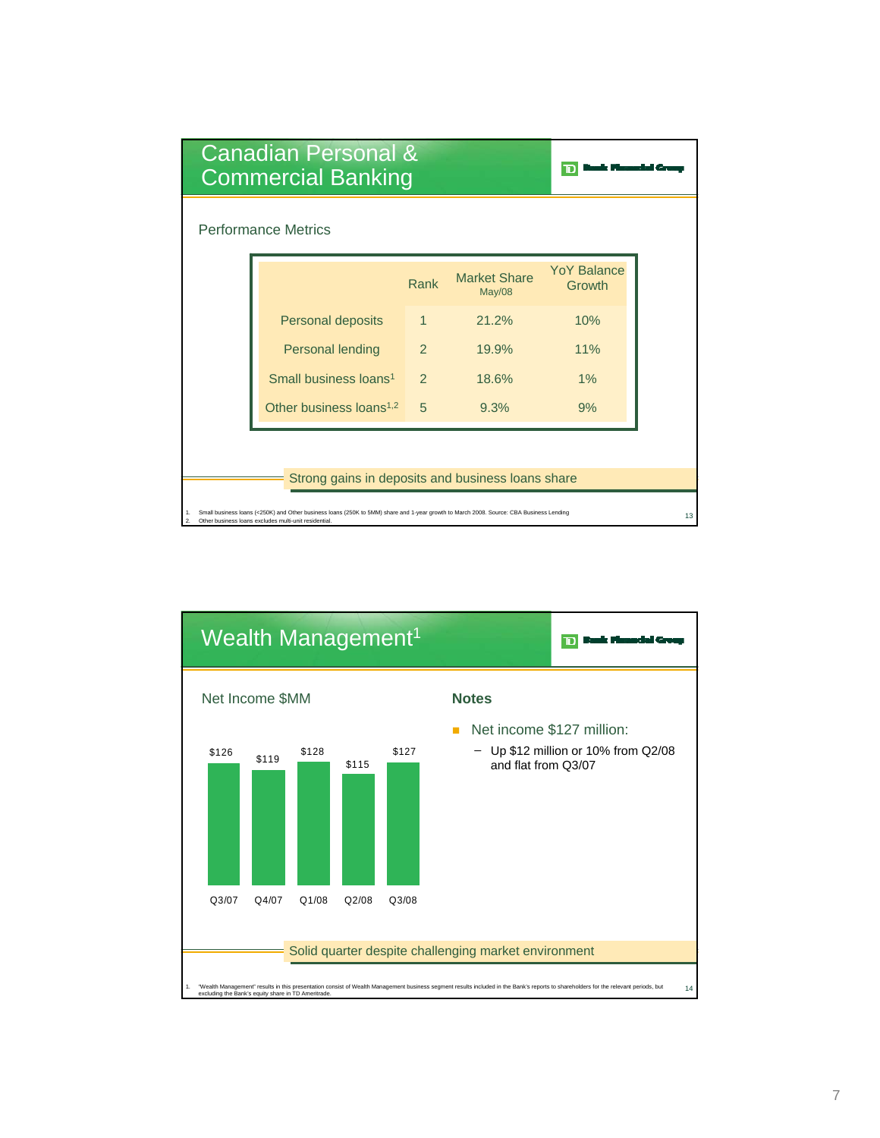| Canadian Personal &<br><b>Commercial Banking</b>                                                                                                                                                                               |                                     |               |                                      |                       |  |  |  |  |
|--------------------------------------------------------------------------------------------------------------------------------------------------------------------------------------------------------------------------------|-------------------------------------|---------------|--------------------------------------|-----------------------|--|--|--|--|
| <b>Performance Metrics</b>                                                                                                                                                                                                     |                                     |               |                                      |                       |  |  |  |  |
|                                                                                                                                                                                                                                |                                     | Rank          | <b>Market Share</b><br><b>May/08</b> | YoY Balance<br>Growth |  |  |  |  |
|                                                                                                                                                                                                                                | Personal deposits                   | $\mathbf{1}$  | 21.2%                                | 10%                   |  |  |  |  |
|                                                                                                                                                                                                                                | <b>Personal lending</b>             | $\mathcal{P}$ | 19.9%                                | 11%                   |  |  |  |  |
|                                                                                                                                                                                                                                | Small business loans <sup>1</sup>   | $\mathcal{P}$ | 18.6%                                | 1%                    |  |  |  |  |
|                                                                                                                                                                                                                                | Other business loans <sup>1,2</sup> | $5^{\circ}$   | 9.3%                                 | 9%                    |  |  |  |  |
|                                                                                                                                                                                                                                |                                     |               |                                      |                       |  |  |  |  |
| Strong gains in deposits and business loans share                                                                                                                                                                              |                                     |               |                                      |                       |  |  |  |  |
| Small business loans (<250K) and Other business loans (250K to 5MM) share and 1-year growth to March 2008. Source: CBA Business Lending<br>1.<br>13<br>Other business loans excludes multi-unit residential.<br>$\mathfrak{D}$ |                                     |               |                                      |                       |  |  |  |  |

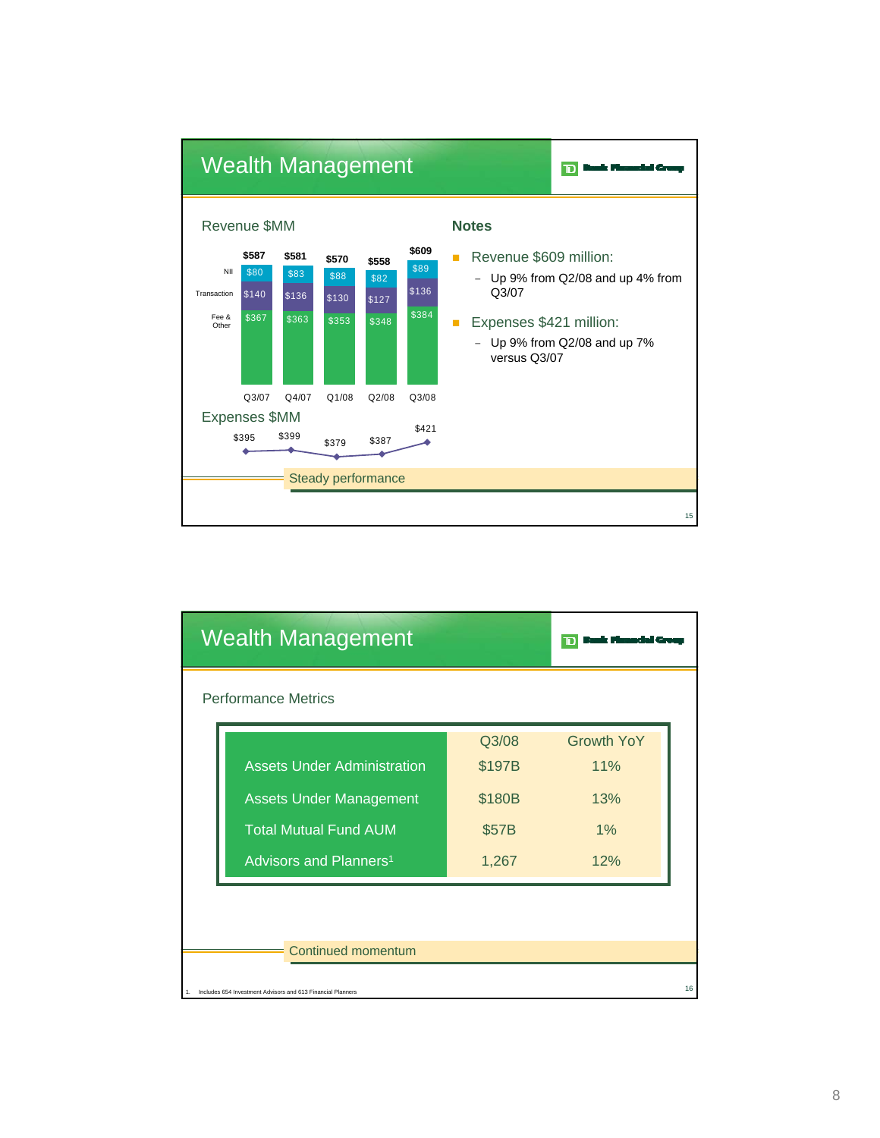

| <b>Wealth Management</b> |                                                             |        |                   |  |  |  |  |
|--------------------------|-------------------------------------------------------------|--------|-------------------|--|--|--|--|
|                          | <b>Performance Metrics</b>                                  |        |                   |  |  |  |  |
|                          |                                                             | Q3/08  | <b>Growth YoY</b> |  |  |  |  |
|                          | <b>Assets Under Administration</b>                          | \$197B | 11%               |  |  |  |  |
|                          | <b>Assets Under Management</b>                              | \$180B | 13%               |  |  |  |  |
|                          | <b>Total Mutual Fund AUM</b>                                | \$57B  | $1\%$             |  |  |  |  |
|                          | Advisors and Planners <sup>1</sup>                          | 1,267  | 12%               |  |  |  |  |
|                          |                                                             |        |                   |  |  |  |  |
|                          |                                                             |        |                   |  |  |  |  |
|                          | Continued momentum                                          |        |                   |  |  |  |  |
|                          | Includes 654 Investment Advisors and 613 Financial Planners |        |                   |  |  |  |  |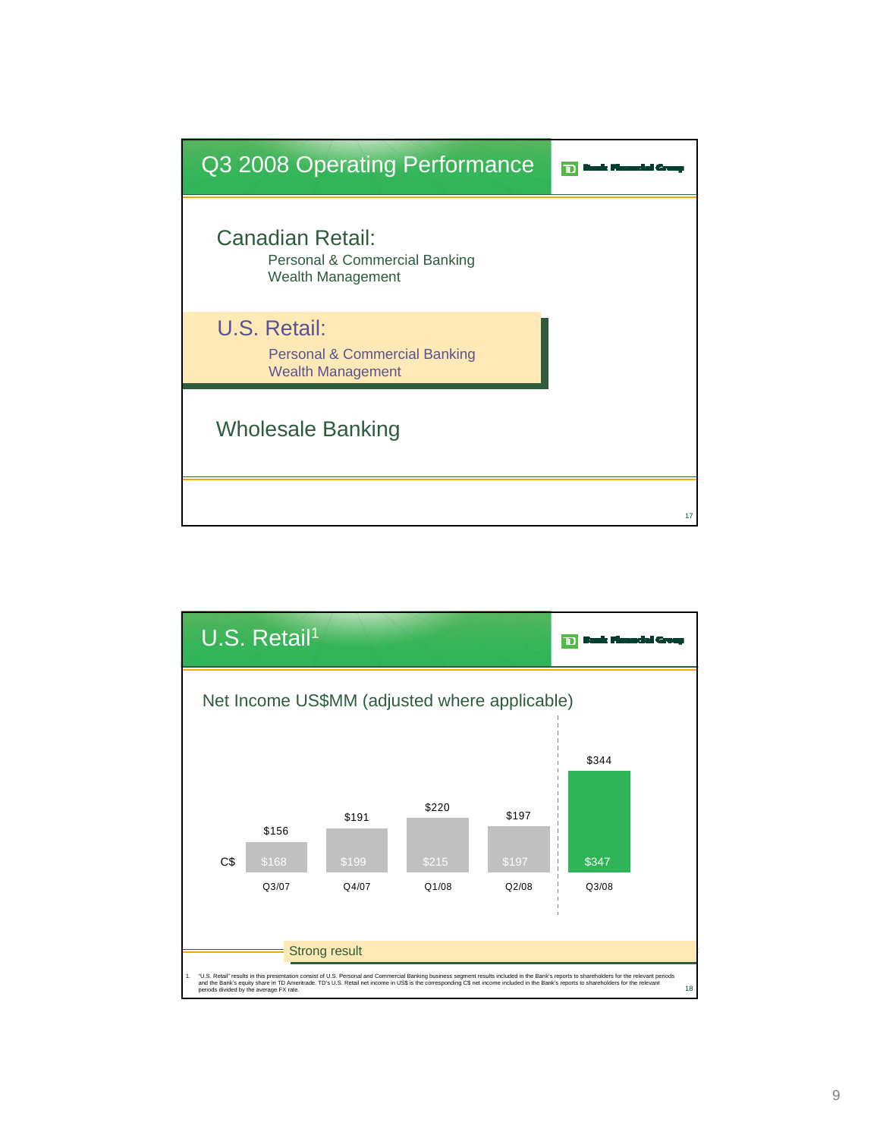![](_page_8_Figure_0.jpeg)

![](_page_8_Figure_1.jpeg)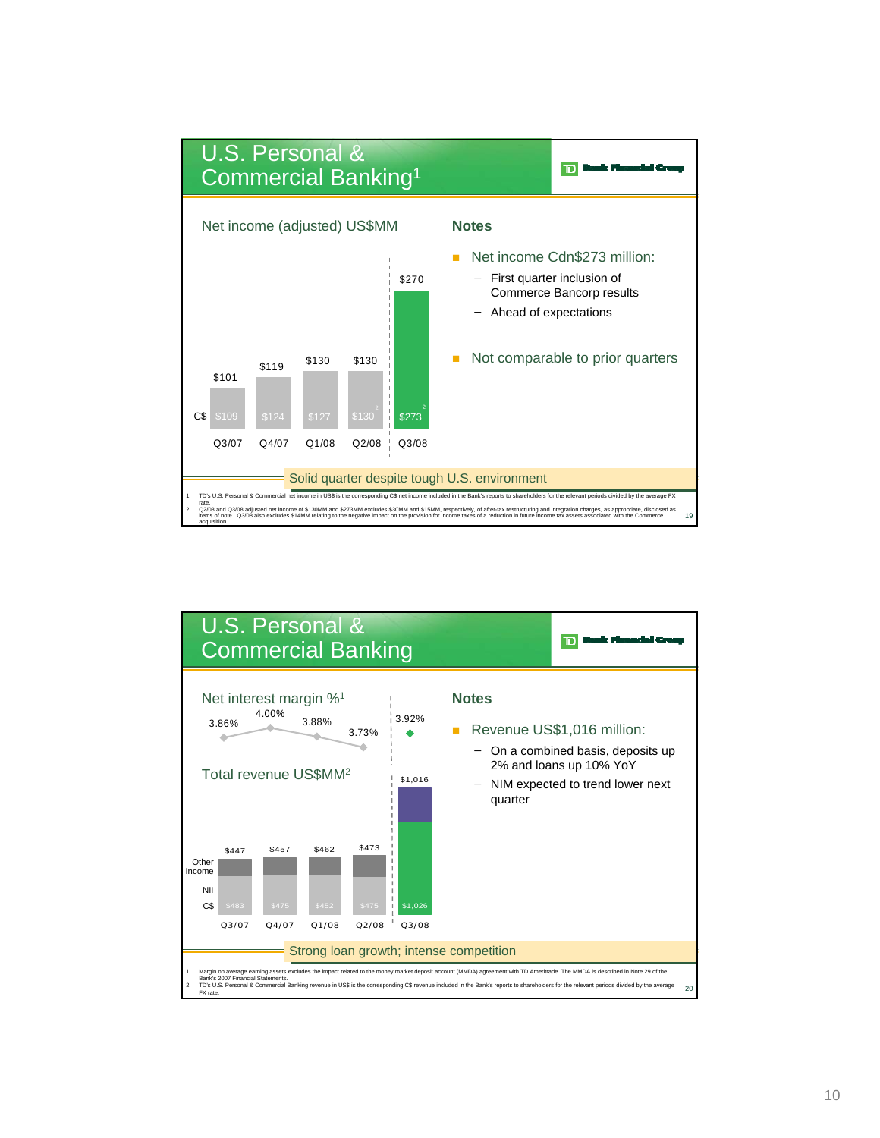![](_page_9_Figure_0.jpeg)

![](_page_9_Figure_1.jpeg)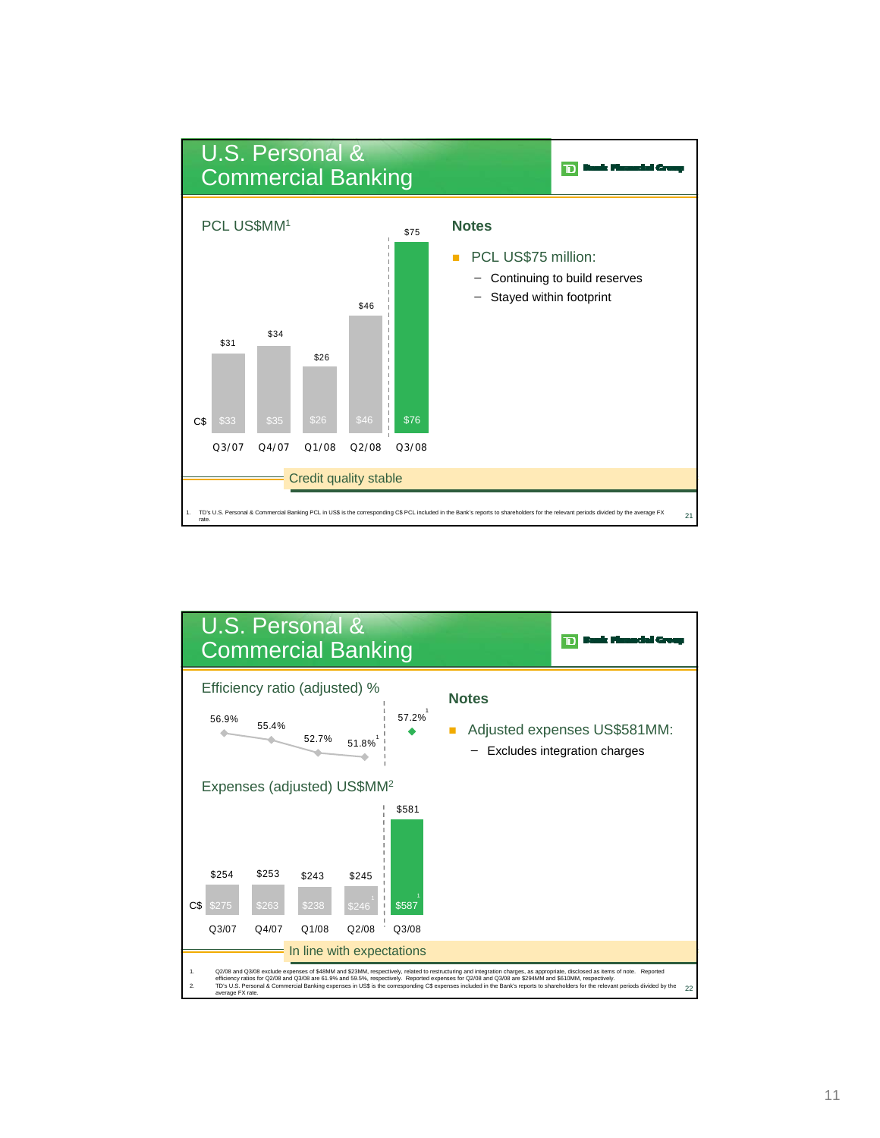![](_page_10_Figure_0.jpeg)

![](_page_10_Figure_1.jpeg)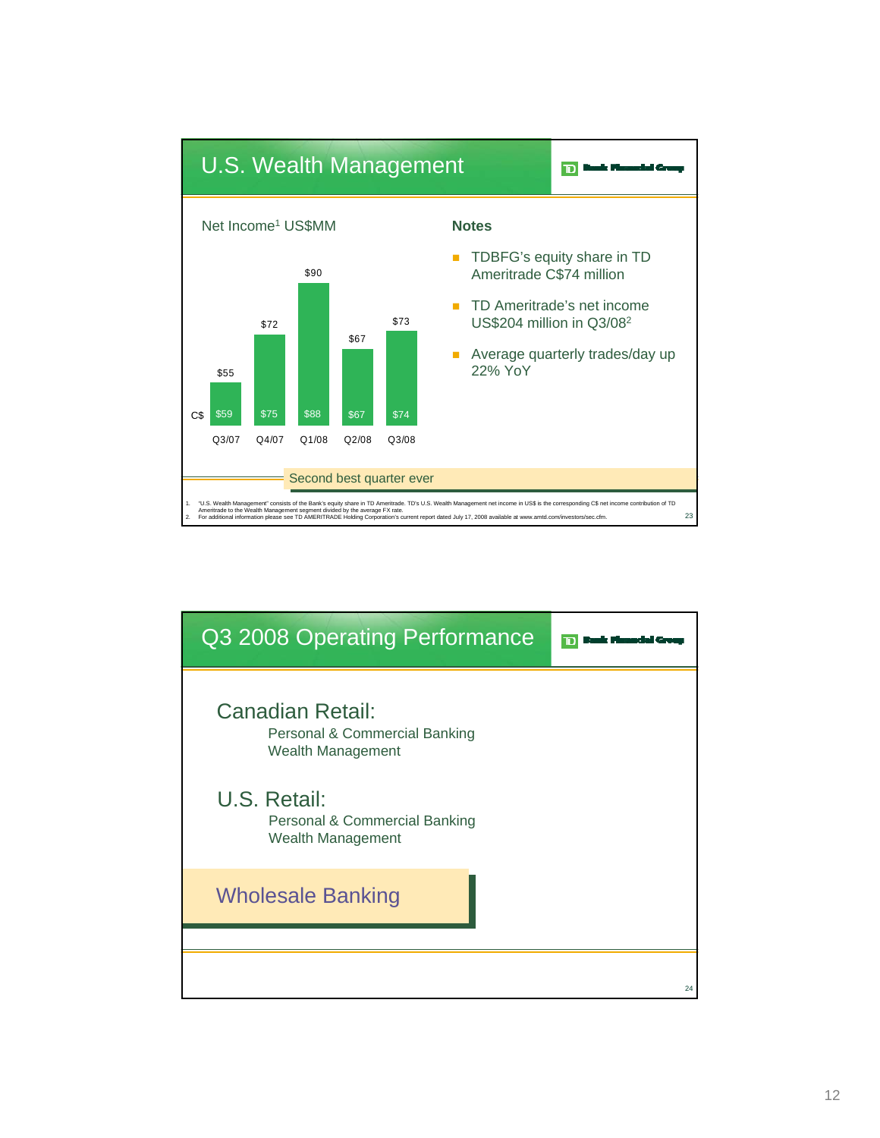![](_page_11_Figure_0.jpeg)

![](_page_11_Figure_1.jpeg)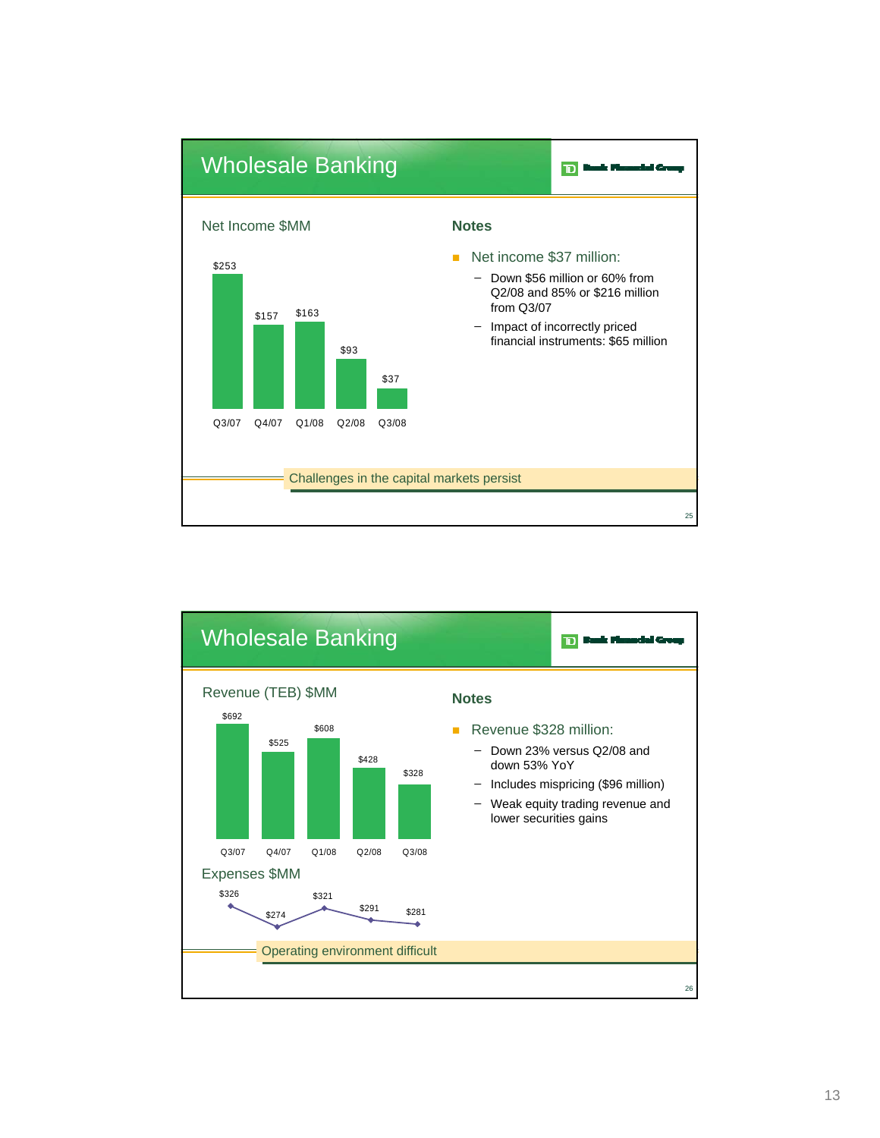![](_page_12_Figure_0.jpeg)

![](_page_12_Figure_1.jpeg)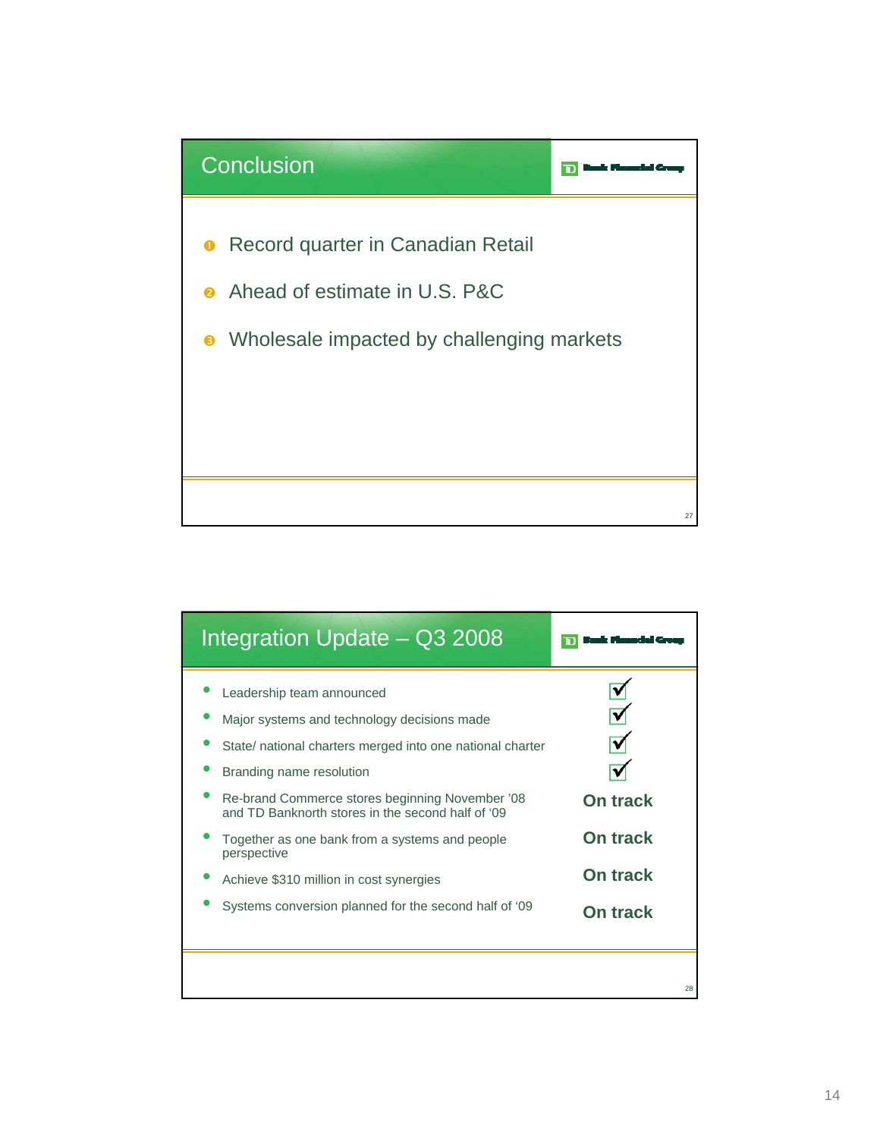![](_page_13_Figure_0.jpeg)

| Integration Update – Q3 2008                                                                                                                                                                                                                                                                                                                                                                                                                   |                                                                          |
|------------------------------------------------------------------------------------------------------------------------------------------------------------------------------------------------------------------------------------------------------------------------------------------------------------------------------------------------------------------------------------------------------------------------------------------------|--------------------------------------------------------------------------|
| Leadership team announced<br>Major systems and technology decisions made<br>State/ national charters merged into one national charter<br>Branding name resolution<br>Re-brand Commerce stores beginning November '08<br>and TD Banknorth stores in the second half of '09<br>Together as one bank from a systems and people<br>perspective<br>Achieve \$310 million in cost synergies<br>Systems conversion planned for the second half of '09 | <b>On track</b><br><b>On track</b><br><b>On track</b><br><b>On track</b> |
|                                                                                                                                                                                                                                                                                                                                                                                                                                                | 28                                                                       |